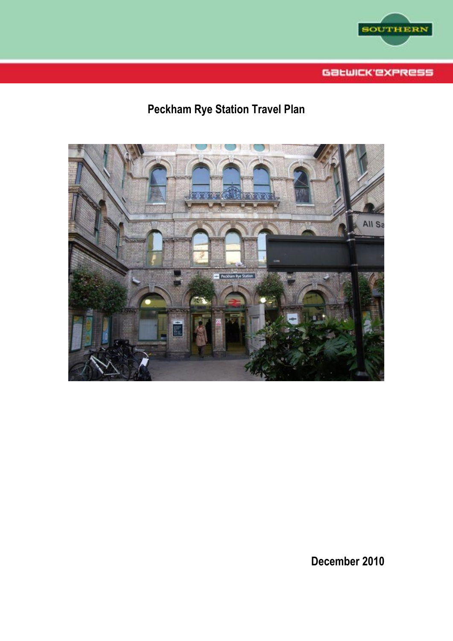

Gatwick express

# **Peckham Rye Station Travel Plan**



**December 2010**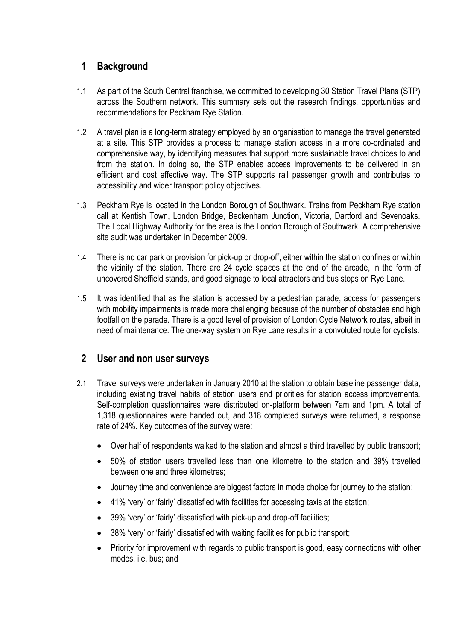## **1 Background**

- 1.1 As part of the South Central franchise, we committed to developing 30 Station Travel Plans (STP) across the Southern network. This summary sets out the research findings, opportunities and recommendations for Peckham Rye Station.
- 1.2 A travel plan is a long-term strategy employed by an organisation to manage the travel generated at a site. This STP provides a process to manage station access in a more co-ordinated and comprehensive way, by identifying measures that support more sustainable travel choices to and from the station. In doing so, the STP enables access improvements to be delivered in an efficient and cost effective way. The STP supports rail passenger growth and contributes to accessibility and wider transport policy objectives.
- 1.3 Peckham Rye is located in the London Borough of Southwark. Trains from Peckham Rye station call at Kentish Town, London Bridge, Beckenham Junction, Victoria, Dartford and Sevenoaks. The Local Highway Authority for the area is the London Borough of Southwark. A comprehensive site audit was undertaken in December 2009.
- 1.4 There is no car park or provision for pick-up or drop-off, either within the station confines or within the vicinity of the station. There are 24 cycle spaces at the end of the arcade, in the form of uncovered Sheffield stands, and good signage to local attractors and bus stops on Rye Lane.
- 1.5 It was identified that as the station is accessed by a pedestrian parade, access for passengers with mobility impairments is made more challenging because of the number of obstacles and high footfall on the parade. There is a good level of provision of London Cycle Network routes, albeit in need of maintenance. The one-way system on Rye Lane results in a convoluted route for cyclists.

#### **2 User and non user surveys**

- 2.1 Travel surveys were undertaken in January 2010 at the station to obtain baseline passenger data, including existing travel habits of station users and priorities for station access improvements. Self-completion questionnaires were distributed on-platform between 7am and 1pm. A total of 1,318 questionnaires were handed out, and 318 completed surveys were returned, a response rate of 24%. Key outcomes of the survey were:
	- Over half of respondents walked to the station and almost a third travelled by public transport;
	- 50% of station users travelled less than one kilometre to the station and 39% travelled between one and three kilometres;
	- Journey time and convenience are biggest factors in mode choice for journey to the station;
	- 41% "very" or "fairly" dissatisfied with facilities for accessing taxis at the station;
	- 39% "very" or "fairly" dissatisfied with pick-up and drop-off facilities;
	- 38% 'very' or 'fairly' dissatisfied with waiting facilities for public transport;
	- Priority for improvement with regards to public transport is good, easy connections with other modes, i.e. bus; and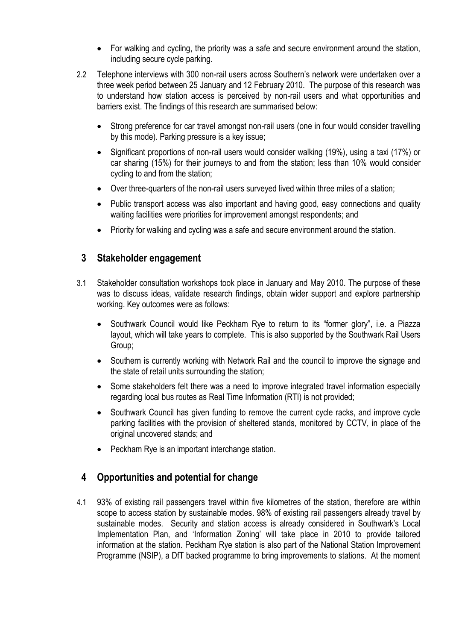- For walking and cycling, the priority was a safe and secure environment around the station, including secure cycle parking.
- 2.2 Telephone interviews with 300 non-rail users across Southern"s network were undertaken over a three week period between 25 January and 12 February 2010. The purpose of this research was to understand how station access is perceived by non-rail users and what opportunities and barriers exist. The findings of this research are summarised below:
	- Strong preference for car travel amongst non-rail users (one in four would consider travelling by this mode). Parking pressure is a key issue;
	- Significant proportions of non-rail users would consider walking (19%), using a taxi (17%) or car sharing (15%) for their journeys to and from the station; less than 10% would consider cycling to and from the station;
	- Over three-quarters of the non-rail users surveyed lived within three miles of a station;
	- Public transport access was also important and having good, easy connections and quality waiting facilities were priorities for improvement amongst respondents; and
	- Priority for walking and cycling was a safe and secure environment around the station.

## **3 Stakeholder engagement**

- 3.1 Stakeholder consultation workshops took place in January and May 2010. The purpose of these was to discuss ideas, validate research findings, obtain wider support and explore partnership working. Key outcomes were as follows:
	- Southwark Council would like Peckham Rye to return to its "former glory", i.e. a Piazza layout, which will take years to complete. This is also supported by the Southwark Rail Users Group;
	- Southern is currently working with Network Rail and the council to improve the signage and the state of retail units surrounding the station;
	- Some stakeholders felt there was a need to improve integrated travel information especially regarding local bus routes as Real Time Information (RTI) is not provided;
	- Southwark Council has given funding to remove the current cycle racks, and improve cycle parking facilities with the provision of sheltered stands, monitored by CCTV, in place of the original uncovered stands; and
	- Peckham Rye is an important interchange station.

## **4 Opportunities and potential for change**

4.1 93% of existing rail passengers travel within five kilometres of the station, therefore are within scope to access station by sustainable modes. 98% of existing rail passengers already travel by sustainable modes. Security and station access is already considered in Southwark"s Local Implementation Plan, and "Information Zoning" will take place in 2010 to provide tailored information at the station. Peckham Rye station is also part of the National Station Improvement Programme (NSIP), a DfT backed programme to bring improvements to stations. At the moment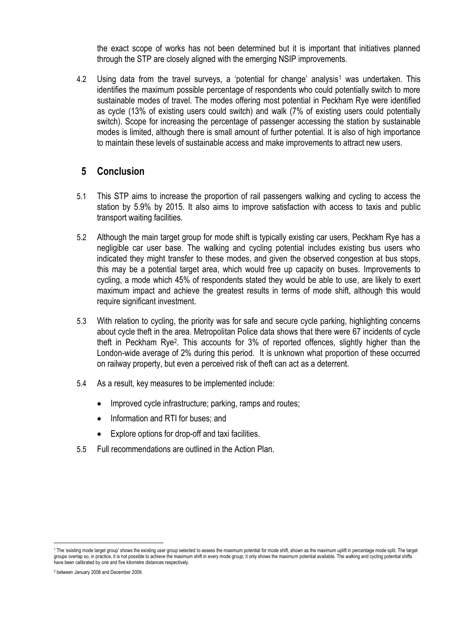the exact scope of works has not been determined but it is important that initiatives planned through the STP are closely aligned with the emerging NSIP improvements.

4.2 Using data from the travel surveys, a 'potential for change' analysis<sup>1</sup> was undertaken. This identifies the maximum possible percentage of respondents who could potentially switch to more sustainable modes of travel. The modes offering most potential in Peckham Rye were identified as cycle (13% of existing users could switch) and walk (7% of existing users could potentially switch). Scope for increasing the percentage of passenger accessing the station by sustainable modes is limited, although there is small amount of further potential. It is also of high importance to maintain these levels of sustainable access and make improvements to attract new users.

#### **5 Conclusion**

- 5.1 This STP aims to increase the proportion of rail passengers walking and cycling to access the station by 5.9% by 2015. It also aims to improve satisfaction with access to taxis and public transport waiting facilities.
- 5.2 Although the main target group for mode shift is typically existing car users, Peckham Rye has a negligible car user base. The walking and cycling potential includes existing bus users who indicated they might transfer to these modes, and given the observed congestion at bus stops, this may be a potential target area, which would free up capacity on buses. Improvements to cycling, a mode which 45% of respondents stated they would be able to use, are likely to exert maximum impact and achieve the greatest results in terms of mode shift, although this would require significant investment.
- 5.3 With relation to cycling, the priority was for safe and secure cycle parking, highlighting concerns about cycle theft in the area. Metropolitan Police data shows that there were 67 incidents of cycle theft in Peckham Rye<sup>2</sup> . This accounts for 3% of reported offences, slightly higher than the London-wide average of 2% during this period. It is unknown what proportion of these occurred on railway property, but even a perceived risk of theft can act as a deterrent.
- 5.4 As a result, key measures to be implemented include:
	- Improved cycle infrastructure; parking, ramps and routes;
	- Information and RTI for buses; and
	- Explore options for drop-off and taxi facilities.
- 5.5 Full recommendations are outlined in the Action Plan.

ł

<sup>1</sup> The "existing mode target group" shows the existing user group selected to assess the maximum potential for mode shift, shown as the maximum uplift in percentage mode split. The target groups overlap so, in practice, it is not possible to achieve the maximum shift in every mode group; it only shows the maximum potential available. The walking and cycling potential shifts have been calibrated by one and five kilometre distances respectively.

<sup>2</sup> between January 2008 and December 2009.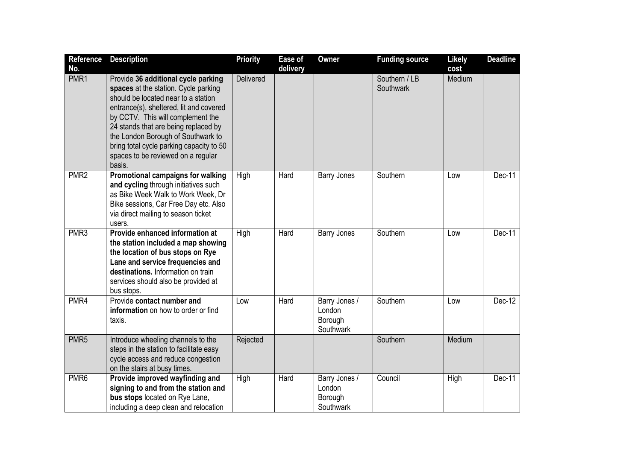| Reference<br>No. | <b>Description</b>                                                                                                                                                                                                                                                                                                                                                           | <b>Priority</b>  | Ease of<br>delivery | <b>Owner</b>                                    | <b>Funding source</b>      | <b>Likely</b><br>cost | <b>Deadline</b> |
|------------------|------------------------------------------------------------------------------------------------------------------------------------------------------------------------------------------------------------------------------------------------------------------------------------------------------------------------------------------------------------------------------|------------------|---------------------|-------------------------------------------------|----------------------------|-----------------------|-----------------|
| PMR1             | Provide 36 additional cycle parking<br>spaces at the station. Cycle parking<br>should be located near to a station<br>entrance(s), sheltered, lit and covered<br>by CCTV. This will complement the<br>24 stands that are being replaced by<br>the London Borough of Southwark to<br>bring total cycle parking capacity to 50<br>spaces to be reviewed on a regular<br>basis. | <b>Delivered</b> |                     |                                                 | Southern / LB<br>Southwark | Medium                |                 |
| PMR <sub>2</sub> | Promotional campaigns for walking<br>and cycling through initiatives such<br>as Bike Week Walk to Work Week, Dr<br>Bike sessions, Car Free Day etc. Also<br>via direct mailing to season ticket<br>users.                                                                                                                                                                    | High             | Hard                | <b>Barry Jones</b>                              | Southern                   | Low                   | Dec-11          |
| PMR <sub>3</sub> | Provide enhanced information at<br>the station included a map showing<br>the location of bus stops on Rye<br>Lane and service frequencies and<br>destinations. Information on train<br>services should also be provided at<br>bus stops.                                                                                                                                     | High             | Hard                | <b>Barry Jones</b>                              | Southern                   | Low                   | Dec-11          |
| PMR4             | Provide contact number and<br>information on how to order or find<br>taxis.                                                                                                                                                                                                                                                                                                  | Low              | Hard                | Barry Jones /<br>London<br>Borough<br>Southwark | Southern                   | Low                   | Dec-12          |
| PMR <sub>5</sub> | Introduce wheeling channels to the<br>steps in the station to facilitate easy<br>cycle access and reduce congestion<br>on the stairs at busy times.                                                                                                                                                                                                                          | Rejected         |                     |                                                 | Southern                   | Medium                |                 |
| PMR <sub>6</sub> | Provide improved wayfinding and<br>signing to and from the station and<br>bus stops located on Rye Lane,<br>including a deep clean and relocation                                                                                                                                                                                                                            | High             | Hard                | Barry Jones /<br>London<br>Borough<br>Southwark | Council                    | High                  | Dec-11          |